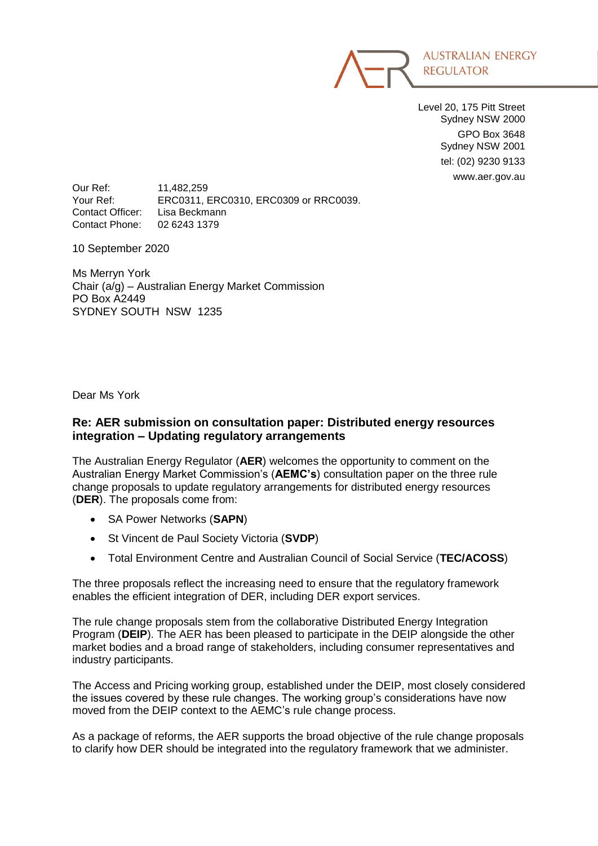

Level 20, 175 Pitt Street Sydney NSW 2000 GPO Box 3648 Sydney NSW 2001 tel: (02) 9230 9133 www.aer.gov.au

Our Ref: 11,482,259 Your Ref: ERC0311, ERC0310, ERC0309 or RRC0039. Contact Officer: Lisa Beckmann Contact Phone: 02 6243 1379

10 September 2020

Ms Merryn York Chair (a/g) ‒ Australian Energy Market Commission PO Box A2449 SYDNEY SOUTH NSW 1235

Dear Ms York

#### **Re: AER submission on consultation paper: Distributed energy resources integration – Updating regulatory arrangements**

The Australian Energy Regulator (**AER**) welcomes the opportunity to comment on the Australian Energy Market Commission's (**AEMC's**) consultation paper on the three rule change proposals to update regulatory arrangements for distributed energy resources (**DER**). The proposals come from:

- SA Power Networks (**SAPN**)
- St Vincent de Paul Society Victoria (**SVDP**)
- Total Environment Centre and Australian Council of Social Service (**TEC/ACOSS**)

The three proposals reflect the increasing need to ensure that the regulatory framework enables the efficient integration of DER, including DER export services.

The rule change proposals stem from the collaborative Distributed Energy Integration Program (**DEIP**). The AER has been pleased to participate in the DEIP alongside the other market bodies and a broad range of stakeholders, including consumer representatives and industry participants.

The Access and Pricing working group, established under the DEIP, most closely considered the issues covered by these rule changes. The working group's considerations have now moved from the DEIP context to the AEMC's rule change process.

As a package of reforms, the AER supports the broad objective of the rule change proposals to clarify how DER should be integrated into the regulatory framework that we administer.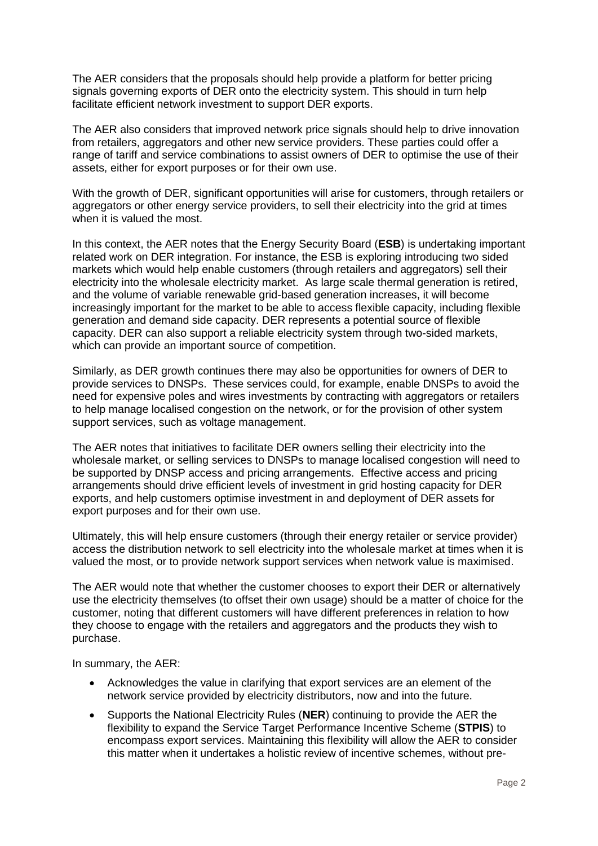The AER considers that the proposals should help provide a platform for better pricing signals governing exports of DER onto the electricity system. This should in turn help facilitate efficient network investment to support DER exports.

The AER also considers that improved network price signals should help to drive innovation from retailers, aggregators and other new service providers. These parties could offer a range of tariff and service combinations to assist owners of DER to optimise the use of their assets, either for export purposes or for their own use.

With the growth of DER, significant opportunities will arise for customers, through retailers or aggregators or other energy service providers, to sell their electricity into the grid at times when it is valued the most.

In this context, the AER notes that the Energy Security Board (**ESB**) is undertaking important related work on DER integration. For instance, the ESB is exploring introducing two sided markets which would help enable customers (through retailers and aggregators) sell their electricity into the wholesale electricity market. As large scale thermal generation is retired, and the volume of variable renewable grid-based generation increases, it will become increasingly important for the market to be able to access flexible capacity, including flexible generation and demand side capacity. DER represents a potential source of flexible capacity. DER can also support a reliable electricity system through two-sided markets, which can provide an important source of competition.

Similarly, as DER growth continues there may also be opportunities for owners of DER to provide services to DNSPs. These services could, for example, enable DNSPs to avoid the need for expensive poles and wires investments by contracting with aggregators or retailers to help manage localised congestion on the network, or for the provision of other system support services, such as voltage management.

The AER notes that initiatives to facilitate DER owners selling their electricity into the wholesale market, or selling services to DNSPs to manage localised congestion will need to be supported by DNSP access and pricing arrangements. Effective access and pricing arrangements should drive efficient levels of investment in grid hosting capacity for DER exports, and help customers optimise investment in and deployment of DER assets for export purposes and for their own use.

Ultimately, this will help ensure customers (through their energy retailer or service provider) access the distribution network to sell electricity into the wholesale market at times when it is valued the most, or to provide network support services when network value is maximised.

The AER would note that whether the customer chooses to export their DER or alternatively use the electricity themselves (to offset their own usage) should be a matter of choice for the customer, noting that different customers will have different preferences in relation to how they choose to engage with the retailers and aggregators and the products they wish to purchase.

In summary, the AER:

- Acknowledges the value in clarifying that export services are an element of the network service provided by electricity distributors, now and into the future.
- Supports the National Electricity Rules (**NER**) continuing to provide the AER the flexibility to expand the Service Target Performance Incentive Scheme (**STPIS**) to encompass export services. Maintaining this flexibility will allow the AER to consider this matter when it undertakes a holistic review of incentive schemes, without pre-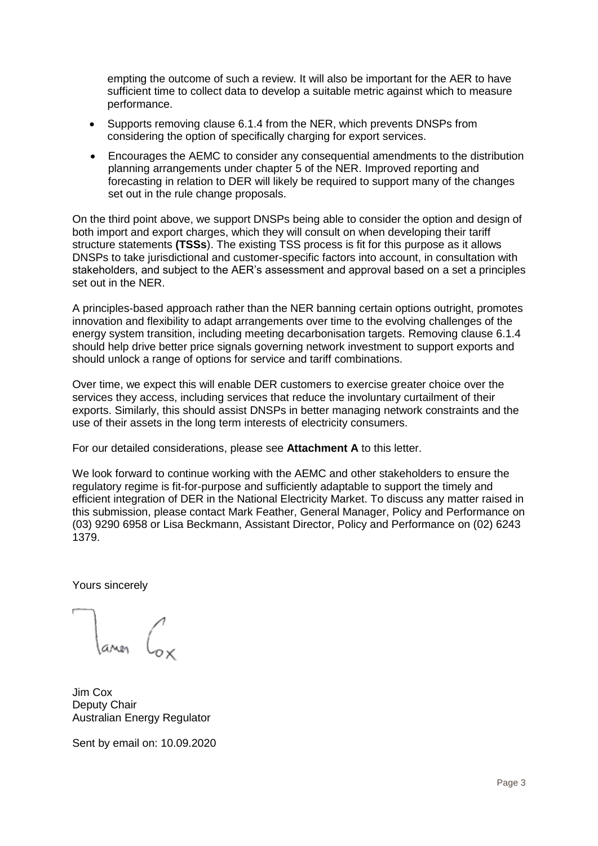empting the outcome of such a review. It will also be important for the AER to have sufficient time to collect data to develop a suitable metric against which to measure performance.

- Supports removing clause 6.1.4 from the NER, which prevents DNSPs from considering the option of specifically charging for export services.
- Encourages the AEMC to consider any consequential amendments to the distribution planning arrangements under chapter 5 of the NER. Improved reporting and forecasting in relation to DER will likely be required to support many of the changes set out in the rule change proposals.

On the third point above, we support DNSPs being able to consider the option and design of both import and export charges, which they will consult on when developing their tariff structure statements **(TSSs**). The existing TSS process is fit for this purpose as it allows DNSPs to take jurisdictional and customer-specific factors into account, in consultation with stakeholders, and subject to the AER's assessment and approval based on a set a principles set out in the NER.

A principles-based approach rather than the NER banning certain options outright, promotes innovation and flexibility to adapt arrangements over time to the evolving challenges of the energy system transition, including meeting decarbonisation targets. Removing clause 6.1.4 should help drive better price signals governing network investment to support exports and should unlock a range of options for service and tariff combinations.

Over time, we expect this will enable DER customers to exercise greater choice over the services they access, including services that reduce the involuntary curtailment of their exports. Similarly, this should assist DNSPs in better managing network constraints and the use of their assets in the long term interests of electricity consumers.

For our detailed considerations, please see **Attachment A** to this letter.

We look forward to continue working with the AEMC and other stakeholders to ensure the regulatory regime is fit-for-purpose and sufficiently adaptable to support the timely and efficient integration of DER in the National Electricity Market. To discuss any matter raised in this submission, please contact Mark Feather, General Manager, Policy and Performance on (03) 9290 6958 or Lisa Beckmann, Assistant Director, Policy and Performance on (02) 6243 1379.

Yours sincerely

Jim Cox Deputy Chair Australian Energy Regulator

Sent by email on: 10.09.2020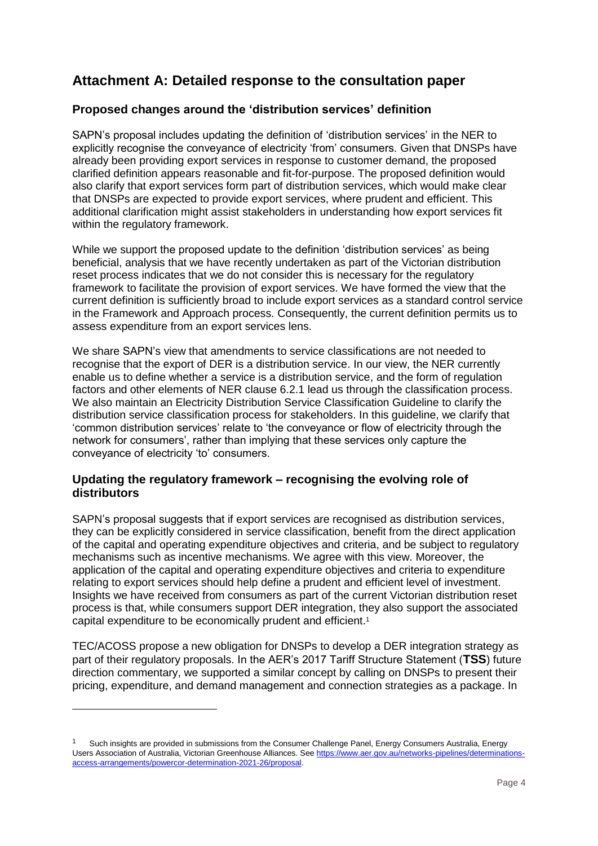# **Attachment A: Detailed response to the consultation paper**

## **Proposed changes around the 'distribution services' definition**

SAPN's proposal includes updating the definition of 'distribution services' in the NER to explicitly recognise the conveyance of electricity 'from' consumers. Given that DNSPs have already been providing export services in response to customer demand, the proposed clarified definition appears reasonable and fit-for-purpose. The proposed definition would also clarify that export services form part of distribution services, which would make clear that DNSPs are expected to provide export services, where prudent and efficient. This additional clarification might assist stakeholders in understanding how export services fit within the regulatory framework.

While we support the proposed update to the definition 'distribution services' as being beneficial, analysis that we have recently undertaken as part of the Victorian distribution reset process indicates that we do not consider this is necessary for the regulatory framework to facilitate the provision of export services. We have formed the view that the current definition is sufficiently broad to include export services as a standard control service in the Framework and Approach process. Consequently, the current definition permits us to assess expenditure from an export services lens.

We share SAPN's view that amendments to service classifications are not needed to recognise that the export of DER is a distribution service. In our view, the NER currently enable us to define whether a service is a distribution service, and the form of regulation factors and other elements of NER clause 6.2.1 lead us through the classification process. We also maintain an Electricity Distribution Service Classification Guideline to clarify the distribution service classification process for stakeholders. In this guideline, we clarify that 'common distribution services' relate to 'the conveyance or flow of electricity through the network for consumers', rather than implying that these services only capture the conveyance of electricity 'to' consumers.

### **Updating the regulatory framework – recognising the evolving role of distributors**

SAPN's proposal suggests that if export services are recognised as distribution services, they can be explicitly considered in service classification, benefit from the direct application of the capital and operating expenditure objectives and criteria, and be subject to regulatory mechanisms such as incentive mechanisms. We agree with this view. Moreover, the application of the capital and operating expenditure objectives and criteria to expenditure relating to export services should help define a prudent and efficient level of investment. Insights we have received from consumers as part of the current Victorian distribution reset process is that, while consumers support DER integration, they also support the associated capital expenditure to be economically prudent and efficient. 1

TEC/ACOSS propose a new obligation for DNSPs to develop a DER integration strategy as part of their regulatory proposals. In the AER's 2017 Tariff Structure Statement (**TSS**) future direction commentary, we supported a similar concept by calling on DNSPs to present their pricing, expenditure, and demand management and connection strategies as a package. In

-

<sup>1</sup> Such insights are provided in submissions from the Consumer Challenge Panel, Energy Consumers Australia, Energy Users Association of Australia, Victorian Greenhouse Alliances. Se[e https://www.aer.gov.au/networks-pipelines/determinations](https://www.aer.gov.au/networks-pipelines/determinations-access-arrangements/powercor-determination-2021-26/proposal)[access-arrangements/powercor-determination-2021-26/proposal.](https://www.aer.gov.au/networks-pipelines/determinations-access-arrangements/powercor-determination-2021-26/proposal)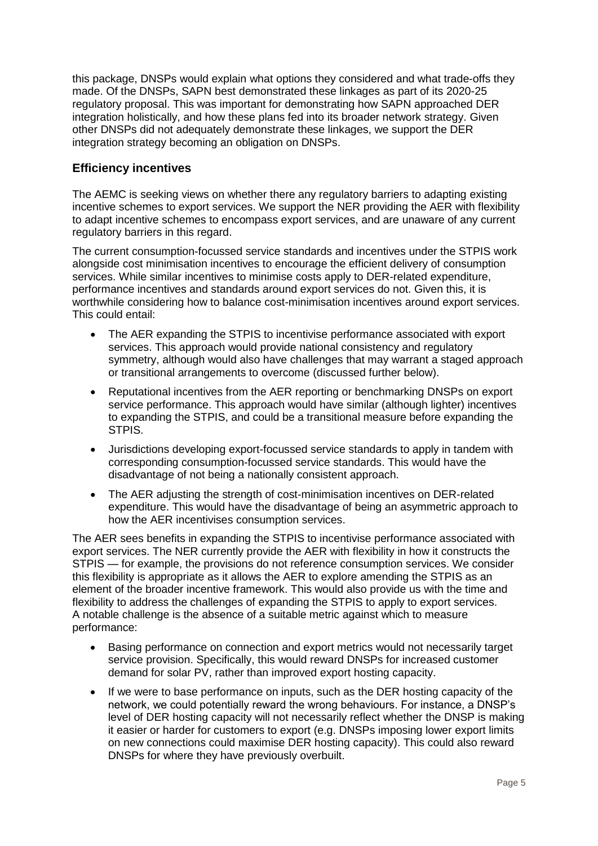this package, DNSPs would explain what options they considered and what trade-offs they made. Of the DNSPs, SAPN best demonstrated these linkages as part of its 2020-25 regulatory proposal. This was important for demonstrating how SAPN approached DER integration holistically, and how these plans fed into its broader network strategy. Given other DNSPs did not adequately demonstrate these linkages, we support the DER integration strategy becoming an obligation on DNSPs.

# **Efficiency incentives**

The AEMC is seeking views on whether there any regulatory barriers to adapting existing incentive schemes to export services. We support the NER providing the AER with flexibility to adapt incentive schemes to encompass export services, and are unaware of any current regulatory barriers in this regard.

The current consumption-focussed service standards and incentives under the STPIS work alongside cost minimisation incentives to encourage the efficient delivery of consumption services. While similar incentives to minimise costs apply to DER-related expenditure, performance incentives and standards around export services do not. Given this, it is worthwhile considering how to balance cost-minimisation incentives around export services. This could entail:

- The AER expanding the STPIS to incentivise performance associated with export services. This approach would provide national consistency and regulatory symmetry, although would also have challenges that may warrant a staged approach or transitional arrangements to overcome (discussed further below).
- Reputational incentives from the AER reporting or benchmarking DNSPs on export service performance. This approach would have similar (although lighter) incentives to expanding the STPIS, and could be a transitional measure before expanding the STPIS.
- Jurisdictions developing export-focussed service standards to apply in tandem with corresponding consumption-focussed service standards. This would have the disadvantage of not being a nationally consistent approach.
- The AER adjusting the strength of cost-minimisation incentives on DER-related expenditure. This would have the disadvantage of being an asymmetric approach to how the AER incentivises consumption services.

The AER sees benefits in expanding the STPIS to incentivise performance associated with export services. The NER currently provide the AER with flexibility in how it constructs the STPIS — for example, the provisions do not reference consumption services. We consider this flexibility is appropriate as it allows the AER to explore amending the STPIS as an element of the broader incentive framework. This would also provide us with the time and flexibility to address the challenges of expanding the STPIS to apply to export services. A notable challenge is the absence of a suitable metric against which to measure performance:

- Basing performance on connection and export metrics would not necessarily target service provision. Specifically, this would reward DNSPs for increased customer demand for solar PV, rather than improved export hosting capacity.
- If we were to base performance on inputs, such as the DER hosting capacity of the network, we could potentially reward the wrong behaviours. For instance, a DNSP's level of DER hosting capacity will not necessarily reflect whether the DNSP is making it easier or harder for customers to export (e.g. DNSPs imposing lower export limits on new connections could maximise DER hosting capacity). This could also reward DNSPs for where they have previously overbuilt.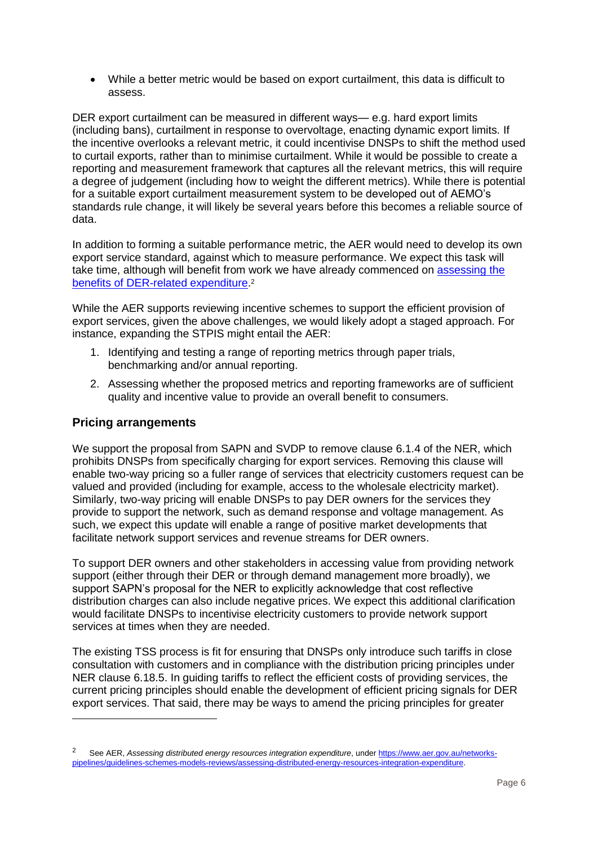While a better metric would be based on export curtailment, this data is difficult to assess.

DER export curtailment can be measured in different ways— e.g. hard export limits (including bans), curtailment in response to overvoltage, enacting dynamic export limits. If the incentive overlooks a relevant metric, it could incentivise DNSPs to shift the method used to curtail exports, rather than to minimise curtailment. While it would be possible to create a reporting and measurement framework that captures all the relevant metrics, this will require a degree of judgement (including how to weight the different metrics). While there is potential for a suitable export curtailment measurement system to be developed out of AEMO's standards rule change, it will likely be several years before this becomes a reliable source of data.

In addition to forming a suitable performance metric, the AER would need to develop its own export service standard, against which to measure performance. We expect this task will take time, although will benefit from work we have already commenced on [assessing the](https://www.aer.gov.au/networks-pipelines/guidelines-schemes-models-reviews/assessing-distributed-energy-resources-integration-expenditure/consultation)  [benefits of DER-related expenditure.](https://www.aer.gov.au/networks-pipelines/guidelines-schemes-models-reviews/assessing-distributed-energy-resources-integration-expenditure/consultation)<sup>2</sup>

While the AER supports reviewing incentive schemes to support the efficient provision of export services, given the above challenges, we would likely adopt a staged approach. For instance, expanding the STPIS might entail the AER:

- 1. Identifying and testing a range of reporting metrics through paper trials, benchmarking and/or annual reporting.
- 2. Assessing whether the proposed metrics and reporting frameworks are of sufficient quality and incentive value to provide an overall benefit to consumers.

### **Pricing arrangements**

-

We support the proposal from SAPN and SVDP to remove clause 6.1.4 of the NER, which prohibits DNSPs from specifically charging for export services. Removing this clause will enable two-way pricing so a fuller range of services that electricity customers request can be valued and provided (including for example, access to the wholesale electricity market). Similarly, two-way pricing will enable DNSPs to pay DER owners for the services they provide to support the network, such as demand response and voltage management. As such, we expect this update will enable a range of positive market developments that facilitate network support services and revenue streams for DER owners.

To support DER owners and other stakeholders in accessing value from providing network support (either through their DER or through demand management more broadly), we support SAPN's proposal for the NER to explicitly acknowledge that cost reflective distribution charges can also include negative prices. We expect this additional clarification would facilitate DNSPs to incentivise electricity customers to provide network support services at times when they are needed.

The existing TSS process is fit for ensuring that DNSPs only introduce such tariffs in close consultation with customers and in compliance with the distribution pricing principles under NER clause 6.18.5. In guiding tariffs to reflect the efficient costs of providing services, the current pricing principles should enable the development of efficient pricing signals for DER export services. That said, there may be ways to amend the pricing principles for greater

<sup>&</sup>lt;sup>2</sup> See AER, *Assessing distributed energy resources integration expenditure*, unde[r https://www.aer.gov.au/networks](https://www.aer.gov.au/networks-pipelines/guidelines-schemes-models-reviews/assessing-distributed-energy-resources-integration-expenditure)[pipelines/guidelines-schemes-models-reviews/assessing-distributed-energy-resources-integration-expenditure.](https://www.aer.gov.au/networks-pipelines/guidelines-schemes-models-reviews/assessing-distributed-energy-resources-integration-expenditure)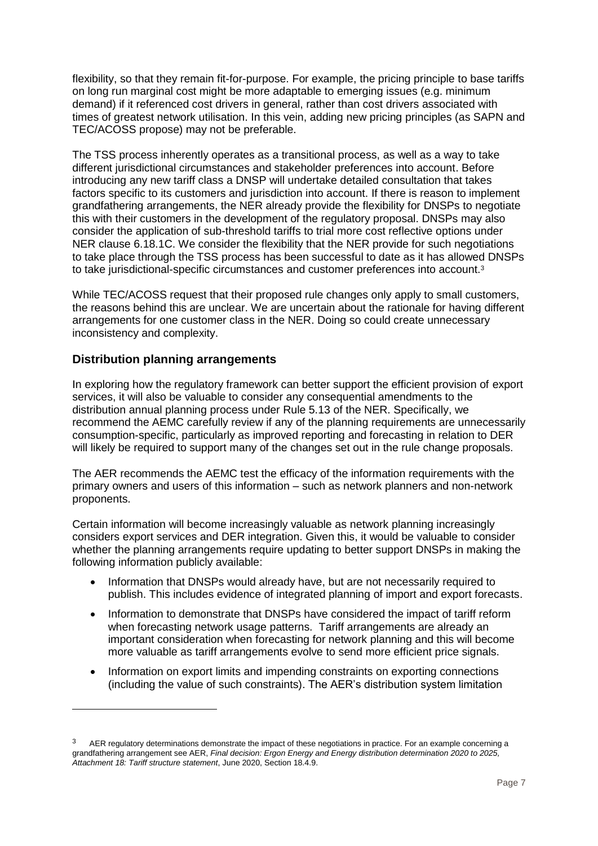flexibility, so that they remain fit-for-purpose. For example, the pricing principle to base tariffs on long run marginal cost might be more adaptable to emerging issues (e.g. minimum demand) if it referenced cost drivers in general, rather than cost drivers associated with times of greatest network utilisation. In this vein, adding new pricing principles (as SAPN and TEC/ACOSS propose) may not be preferable.

The TSS process inherently operates as a transitional process, as well as a way to take different jurisdictional circumstances and stakeholder preferences into account. Before introducing any new tariff class a DNSP will undertake detailed consultation that takes factors specific to its customers and jurisdiction into account. If there is reason to implement grandfathering arrangements, the NER already provide the flexibility for DNSPs to negotiate this with their customers in the development of the regulatory proposal. DNSPs may also consider the application of sub-threshold tariffs to trial more cost reflective options under NER clause 6.18.1C. We consider the flexibility that the NER provide for such negotiations to take place through the TSS process has been successful to date as it has allowed DNSPs to take jurisdictional-specific circumstances and customer preferences into account.<sup>3</sup>

While TEC/ACOSS request that their proposed rule changes only apply to small customers, the reasons behind this are unclear. We are uncertain about the rationale for having different arrangements for one customer class in the NER. Doing so could create unnecessary inconsistency and complexity.

#### **Distribution planning arrangements**

-

In exploring how the regulatory framework can better support the efficient provision of export services, it will also be valuable to consider any consequential amendments to the distribution annual planning process under Rule 5.13 of the NER. Specifically, we recommend the AEMC carefully review if any of the planning requirements are unnecessarily consumption-specific, particularly as improved reporting and forecasting in relation to DER will likely be required to support many of the changes set out in the rule change proposals.

The AER recommends the AEMC test the efficacy of the information requirements with the primary owners and users of this information – such as network planners and non-network proponents.

Certain information will become increasingly valuable as network planning increasingly considers export services and DER integration. Given this, it would be valuable to consider whether the planning arrangements require updating to better support DNSPs in making the following information publicly available:

- Information that DNSPs would already have, but are not necessarily required to publish. This includes evidence of integrated planning of import and export forecasts.
- Information to demonstrate that DNSPs have considered the impact of tariff reform when forecasting network usage patterns. Tariff arrangements are already an important consideration when forecasting for network planning and this will become more valuable as tariff arrangements evolve to send more efficient price signals.
- Information on export limits and impending constraints on exporting connections (including the value of such constraints). The AER's distribution system limitation

AER regulatory determinations demonstrate the impact of these negotiations in practice. For an example concerning a grandfathering arrangement see AER, *Final decision: Ergon Energy and Energy distribution determination 2020 to 2025, Attachment 18: Tariff structure statement*, June 2020, Section 18.4.9.